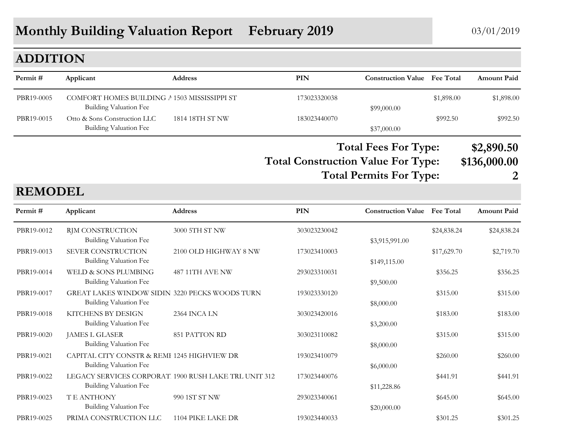## **Monthly Building Valuation Report February 2019** 03/01/2019

## **ADDITION**

| Permit #   | Applicant                                                              | <b>Address</b>  | PIN          | <b>Construction Value</b> Fee Total |            | <b>Amount Paid</b> |
|------------|------------------------------------------------------------------------|-----------------|--------------|-------------------------------------|------------|--------------------|
| PBR19-0005 | COMFORT HOMES BUILDING A 1503 MISSISSIPPI ST<br>Building Valuation Fee |                 | 173023320038 | \$99,000.00                         | \$1,898.00 | \$1,898.00         |
| PBR19-0015 | Otto & Sons Construction LLC<br>Building Valuation Fee                 | 1814 18TH ST NW | 183023440070 | \$37,000.00                         | \$992.50   | \$992.50           |

**Total Fees For Type: \$2,890.50**

**Total Construction Value For Type: \$136,000.00**

## **Total Permits For Type: 2**

## **REMODEL**

| Permit#    | Applicant                                                                       | <b>Address</b>        | <b>PIN</b>   | <b>Construction Value</b> | <b>Fee Total</b> | <b>Amount Paid</b> |
|------------|---------------------------------------------------------------------------------|-----------------------|--------------|---------------------------|------------------|--------------------|
| PBR19-0012 | RJM CONSTRUCTION<br><b>Building Valuation Fee</b>                               | 3000 5TH ST NW        | 303023230042 | \$3,915,991.00            | \$24,838.24      | \$24,838.24        |
| PBR19-0013 | <b>SEVER CONSTRUCTION</b><br><b>Building Valuation Fee</b>                      | 2100 OLD HIGHWAY 8 NW | 173023410003 | \$149,115.00              | \$17,629.70      | \$2,719.70         |
| PBR19-0014 | WELD & SONS PLUMBING<br><b>Building Valuation Fee</b>                           | 487 11TH AVE NW       | 293023310031 | \$9,500.00                | \$356.25         | \$356.25           |
| PBR19-0017 | GREAT LAKES WINDOW SIDIN 3220 PECKS WOODS TURN<br><b>Building Valuation Fee</b> |                       | 193023330120 | \$8,000.00                | \$315.00         | \$315.00           |
| PBR19-0018 | KITCHENS BY DESIGN<br><b>Building Valuation Fee</b>                             | 2364 INCA LN          | 303023420016 | \$3,200.00                | \$183.00         | \$183.00           |
| PBR19-0020 | <b>JAMES L GLASER</b><br><b>Building Valuation Fee</b>                          | 851 PATTON RD         | 303023110082 | \$8,000.00                | \$315.00         | \$315.00           |
| PBR19-0021 | CAPITAL CITY CONSTR & REMI 1245 HIGHVIEW DR<br><b>Building Valuation Fee</b>    |                       | 193023410079 | \$6,000.00                | \$260.00         | \$260.00           |
| PBR19-0022 | LEGACY SERVICES CORPORAT. 1900 RUSH LAKE TRL UNIT 312<br>Building Valuation Fee |                       | 173023440076 | \$11,228.86               | \$441.91         | \$441.91           |
| PBR19-0023 | <b>TE ANTHONY</b><br><b>Building Valuation Fee</b>                              | 990 1ST ST NW         | 293023340061 | \$20,000.00               | \$645.00         | \$645.00           |
| PBR19-0025 | PRIMA CONSTRUCTION LLC                                                          | 1104 PIKE LAKE DR     | 193023440033 |                           | \$301.25         | \$301.25           |